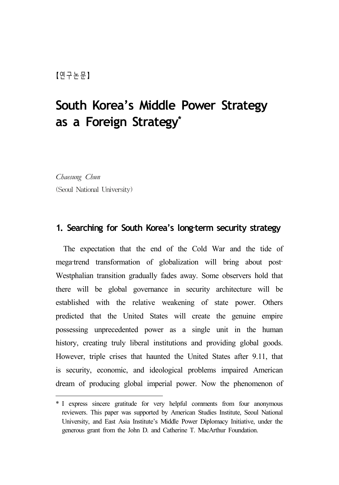# **South Korea's Middle Power Strategy as a Foreign Strategy\* 10)**

*Chaesung Chun*  (Seoul National University)

### **1. Searching for South Korea's long-term security strategy**

The expectation that the end of the Cold War and the tide of mega-trend transformation of globalization will bring about post-Westphalian transition gradually fades away. Some observers hold that there will be global governance in security architecture will be established with the relative weakening of state power. Others predicted that the United States will create the genuine empire possessing unprecedented power as a single unit in the human history, creating truly liberal institutions and providing global goods. However, triple crises that haunted the United States after 9.11, that is security, economic, and ideological problems impaired American dream of producing global imperial power. Now the phenomenon of

<sup>\*</sup> I express sincere gratitude for very helpful comments from four anonymous reviewers. This paper was supported by American Studies Institute, Seoul National University, and East Asia Institute's Middle Power Diplomacy Initiative, under the generous grant from the John D. and Catherine T. MacArthur Foundation.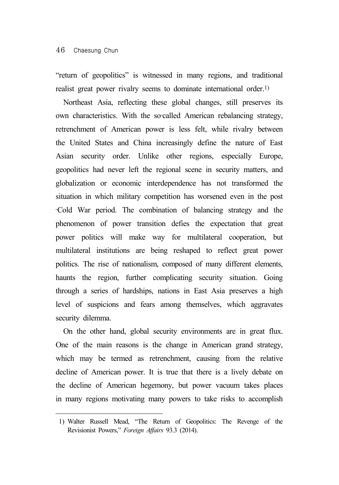"return of geopolitics" is witnessed in many regions, and traditional realist great power rivalry seems to dominate international order.1)

Northeast Asia, reflecting these global changes, still preserves its own characteristics. With the so-called American rebalancing strategy, retrenchment of American power is less felt, while rivalry between the United States and China increasingly define the nature of East Asian security order. Unlike other regions, especially Europe, geopolitics had never left the regional scene in security matters, and globalization or economic interdependence has not transformed the situation in which military competition has worsened even in the post ‐Cold War period. The combination of balancing strategy and the phenomenon of power transition defies the expectation that great power politics will make way for multilateral cooperation, but multilateral institutions are being reshaped to reflect great power politics. The rise of nationalism, composed of many different elements, haunts the region, further complicating security situation. Going through a series of hardships, nations in East Asia preserves a high level of suspicions and fears among themselves, which aggravates security dilemma.

On the other hand, global security environments are in great flux. One of the main reasons is the change in American grand strategy, which may be termed as retrenchment, causing from the relative decline of American power. It is true that there is a lively debate on the decline of American hegemony, but power vacuum takes places in many regions motivating many powers to take risks to accomplish

<sup>1)</sup> Walter Russell Mead, "The Return of Geopolitics: The Revenge of the Revisionist Powers," *Foreign Affairs* 93.3 (2014).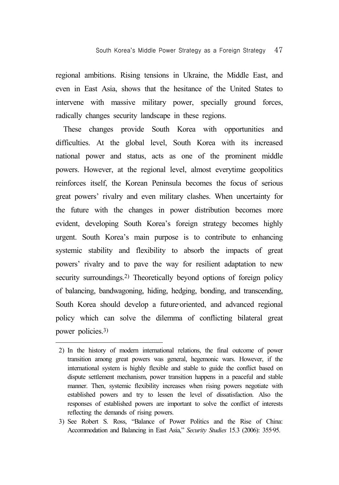regional ambitions. Rising tensions in Ukraine, the Middle East, and even in East Asia, shows that the hesitance of the United States to intervene with massive military power, specially ground forces, radically changes security landscape in these regions.

These changes provide South Korea with opportunities and difficulties. At the global level, South Korea with its increased national power and status, acts as one of the prominent middle powers. However, at the regional level, almost everytime geopolitics reinforces itself, the Korean Peninsula becomes the focus of serious great powers' rivalry and even military clashes. When uncertainty for the future with the changes in power distribution becomes more evident, developing South Korea's foreign strategy becomes highly urgent. South Korea's main purpose is to contribute to enhancing systemic stability and flexibility to absorb the impacts of great powers' rivalry and to pave the way for resilient adaptation to new security surroundings.2) Theoretically beyond options of foreign policy of balancing, bandwagoning, hiding, hedging, bonding, and transcending, South Korea should develop a future-oriented, and advanced regional policy which can solve the dilemma of conflicting bilateral great power policies.3)

<sup>2)</sup> In the history of modern international relations, the final outcome of power transition among great powers was general, hegemonic wars. However, if the international system is highly flexible and stable to guide the conflict based on dispute settlement mechanism, power transition happens in a peaceful and stable manner. Then, systemic flexibility increases when rising powers negotiate with established powers and try to lessen the level of dissatisfaction. Also the responses of established powers are important to solve the conflict of interests reflecting the demands of rising powers.

<sup>3)</sup> See Robert S. Ross, "Balance of Power Politics and the Rise of China: Accommodation and Balancing in East Asia," *Security Studies* 15.3 (2006): 355‐95.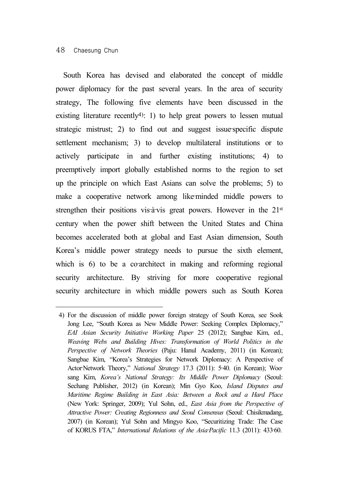#### 48 Chaesung Chun

South Korea has devised and elaborated the concept of middle power diplomacy for the past several years. In the area of security strategy, The following five elements have been discussed in the existing literature recently<sup>4</sup>): 1) to help great powers to lessen mutual strategic mistrust; 2) to find out and suggest issue-specific dispute settlement mechanism; 3) to develop multilateral institutions or to actively participate in and further existing institutions; 4) to preemptively import globally established norms to the region to set up the principle on which East Asians can solve the problems; 5) to make a cooperative network among like-minded middle powers to strengthen their positions vis-à-vis great powers. However in the  $21<sup>st</sup>$ century when the power shift between the United States and China becomes accelerated both at global and East Asian dimension, South Korea's middle power strategy needs to pursue the sixth element, which is  $6$ ) to be a co-architect in making and reforming regional security architecture. By striving for more cooperative regional security architecture in which middle powers such as South Korea

<sup>4)</sup> For the discussion of middle power foreign strategy of South Korea, see Sook Jong Lee, "South Korea as New Middle Power: Seeking Complex Diplomacy," *EAI Asian Security Initiative Working Paper* 25 (2012); Sangbae Kim, ed., *Weaving Webs and Building Hives: Transformation of World Politics in the Perspective of Network Theories* (Paju: Hanul Academy, 2011) (in Korean); Sangbae Kim, "Korea's Strategies for Network Diplomacy: A Perspective of Actor‐Network Theory," *National Strategy* 17.3 (2011): 5‐40. (in Korean); Woo‐ sang Kim, *Korea's National Strategy: Its Middle Power Diplomacy* (Seoul: Sechang Publisher, 2012) (in Korean); Min Gyo Koo, *Island Disputes and Maritime Regime Building in East Asia: Between a Rock and a Hard Place* (New York: Springer, 2009); Yul Sohn, ed., *East Asia from the Perspective of Attractive Power: Creating Regionness and Seoul Consensus* (Seoul: Chisikmadang, 2007) (in Korean); Yul Sohn and Mingyo Koo, "Securitizing Trade: The Case of KORUS FTA," *International Relations of the Asia-Pacific* 11.3 (2011): 433-60.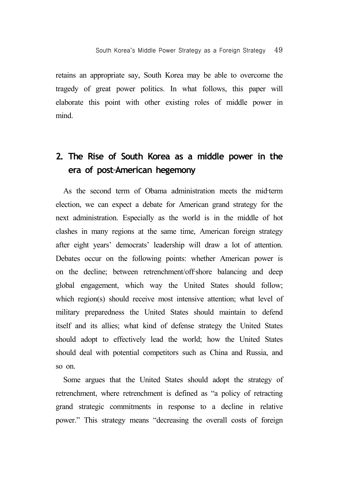retains an appropriate say, South Korea may be able to overcome the tragedy of great power politics. In what follows, this paper will elaborate this point with other existing roles of middle power in mind.

## **2. The Rise of South Korea as a middle power in the era of post**‐**American hegemony**

As the second term of Obama administration meets the mid-term election, we can expect a debate for American grand strategy for the next administration. Especially as the world is in the middle of hot clashes in many regions at the same time, American foreign strategy after eight years' democrats' leadership will draw a lot of attention. Debates occur on the following points: whether American power is on the decline; between retrenchment/off-shore balancing and deep global engagement, which way the United States should follow; which region(s) should receive most intensive attention; what level of military preparedness the United States should maintain to defend itself and its allies; what kind of defense strategy the United States should adopt to effectively lead the world; how the United States should deal with potential competitors such as China and Russia, and so on.

Some argues that the United States should adopt the strategy of retrenchment, where retrenchment is defined as "a policy of retracting grand strategic commitments in response to a decline in relative power." This strategy means "decreasing the overall costs of foreign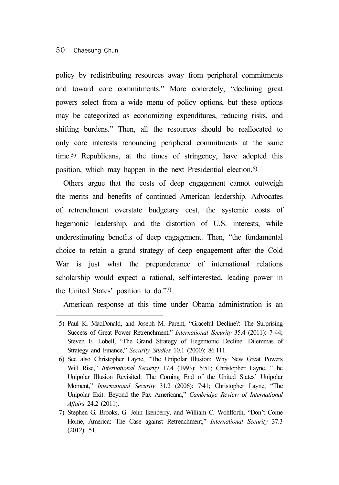policy by redistributing resources away from peripheral commitments and toward core commitments." More concretely, "declining great powers select from a wide menu of policy options, but these options may be categorized as economizing expenditures, reducing risks, and shifting burdens." Then, all the resources should be reallocated to only core interests renouncing peripheral commitments at the same time.5) Republicans, at the times of stringency, have adopted this position, which may happen in the next Presidential election.6)

Others argue that the costs of deep engagement cannot outweigh the merits and benefits of continued American leadership. Advocates of retrenchment overstate budgetary cost, the systemic costs of hegemonic leadership, and the distortion of U.S. interests, while underestimating benefits of deep engagement. Then, "the fundamental choice to retain a grand strategy of deep engagement after the Cold War is just what the preponderance of international relations scholarship would expect a rational, self-interested, leading power in the United States' position to do."7)

American response at this time under Obama administration is an

<sup>5)</sup> Paul K. MacDonald, and Joseph M. Parent, "Graceful Decline?: The Surprising Success of Great Power Retrenchment," *International Security* 35.4 (2011): 7–44; Steven E. Lobell, "The Grand Strategy of Hegemonic Decline: Dilemmas of Strategy and Finance," *Security Studies* 10.1 (2000): 86‐111.

<sup>6)</sup> See also Christopher Layne, "The Unipolar Illusion: Why New Great Powers Will Rise," *International Security* 17.4 (1993): 5‐51; Christopher Layne, "The Unipolar Illusion Revisited: The Coming End of the United States' Unipolar Moment," *International Security* 31.2 (2006): 7‐41; Christopher Layne, "The Unipolar Exit: Beyond the Pax Americana," *Cambridge Review of International Affairs* 24.2 (2011).

<sup>7)</sup> Stephen G. Brooks, G. John Ikenberry, and William C. Wohlforth, "Don't Come Home, America: The Case against Retrenchment," *International Security* 37.3 (2012): 51.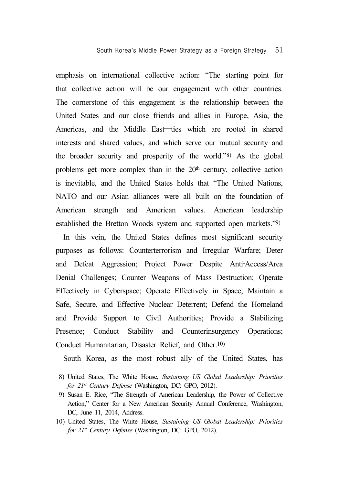emphasis on international collective action: "The starting point for that collective action will be our engagement with other countries. The cornerstone of this engagement is the relationship between the United States and our close friends and allies in Europe, Asia, the Americas, and the Middle East—ties which are rooted in shared interests and shared values, and which serve our mutual security and the broader security and prosperity of the world."8) As the global problems get more complex than in the 20<sup>th</sup> century, collective action is inevitable, and the United States holds that "The United Nations, NATO and our Asian alliances were all built on the foundation of American strength and American values. American leadership established the Bretton Woods system and supported open markets."9)

In this vein, the United States defines most significant security purposes as follows: Counterterrorism and Irregular Warfare; Deter and Defeat Aggression; Project Power Despite Anti‐Access/Area Denial Challenges; Counter Weapons of Mass Destruction; Operate Effectively in Cyberspace; Operate Effectively in Space; Maintain a Safe, Secure, and Effective Nuclear Deterrent; Defend the Homeland and Provide Support to Civil Authorities; Provide a Stabilizing Presence; Conduct Stability and Counterinsurgency Operations; Conduct Humanitarian, Disaster Relief, and Other.10)

South Korea, as the most robust ally of the United States, has

<sup>8)</sup> United States, The White House, *Sustaining US Global Leadership: Priorities for 21st Century Defense* (Washington, DC: GPO, 2012).

<sup>9)</sup> Susan E. Rice, "The Strength of American Leadership, the Power of Collective Action," Center for a New American Security Annual Conference, Washington, DC, June 11, 2014, Address.

<sup>10)</sup> United States, The White House, *Sustaining US Global Leadership: Priorities for 21st Century Defense* (Washington, DC: GPO, 2012).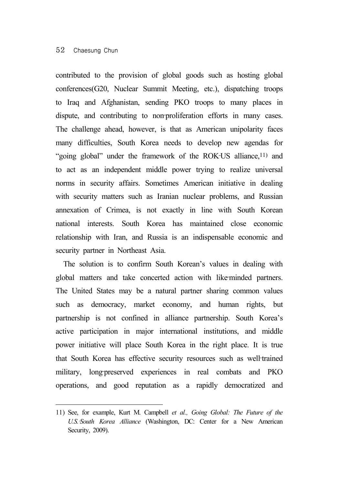contributed to the provision of global goods such as hosting global conferences(G20, Nuclear Summit Meeting, etc.), dispatching troops to Iraq and Afghanistan, sending PKO troops to many places in dispute, and contributing to non-proliferation efforts in many cases. The challenge ahead, however, is that as American unipolarity faces many difficulties, South Korea needs to develop new agendas for "going global" under the framework of the ROK-US alliance,<sup>11)</sup> and to act as an independent middle power trying to realize universal norms in security affairs. Sometimes American initiative in dealing with security matters such as Iranian nuclear problems, and Russian annexation of Crimea, is not exactly in line with South Korean national interests. South Korea has maintained close economic relationship with Iran, and Russia is an indispensable economic and security partner in Northeast Asia.

The solution is to confirm South Korean's values in dealing with global matters and take concerted action with like-minded partners. The United States may be a natural partner sharing common values such as democracy, market economy, and human rights, but partnership is not confined in alliance partnership. South Korea's active participation in major international institutions, and middle power initiative will place South Korea in the right place. It is true that South Korea has effective security resources such as well-trained military, long-preserved experiences in real combats and PKO operations, and good reputation as a rapidly democratized and

<sup>11)</sup> See, for example, Kurt M. Campbell *et al., Going Global: The Future of the U.S.*‐*South Korea Alliance* (Washington, DC: Center for a New American Security, 2009).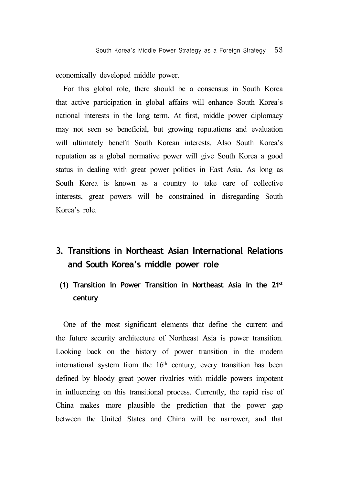economically developed middle power.

For this global role, there should be a consensus in South Korea that active participation in global affairs will enhance South Korea's national interests in the long term. At first, middle power diplomacy may not seen so beneficial, but growing reputations and evaluation will ultimately benefit South Korean interests. Also South Korea's reputation as a global normative power will give South Korea a good status in dealing with great power politics in East Asia. As long as South Korea is known as a country to take care of collective interests, great powers will be constrained in disregarding South Korea's role.

# **3. Transitions in Northeast Asian International Relations and South Korea's middle power role**

**(1) Transition in Power Transition in Northeast Asia in the 21st century**

One of the most significant elements that define the current and the future security architecture of Northeast Asia is power transition. Looking back on the history of power transition in the modern international system from the 16<sup>th</sup> century, every transition has been defined by bloody great power rivalries with middle powers impotent in influencing on this transitional process. Currently, the rapid rise of China makes more plausible the prediction that the power gap between the United States and China will be narrower, and that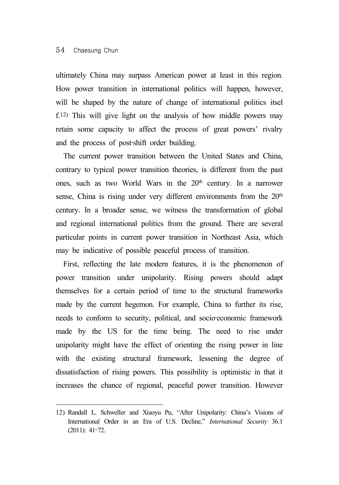#### 54 Chaesung Chun

ultimately China may surpass American power at least in this region. How power transition in international politics will happen, however, will be shaped by the nature of change of international politics itsel f.12) This will give light on the analysis of how middle powers may retain some capacity to affect the process of great powers' rivalry and the process of post‐shift order building.

The current power transition between the United States and China, contrary to typical power transition theories, is different from the past ones, such as two World Wars in the  $20<sup>th</sup>$  century. In a narrower sense, China is rising under very different environments from the  $20<sup>th</sup>$ century. In a broader sense, we witness the transformation of global and regional international politics from the ground. There are several particular points in current power transition in Northeast Asia, which may be indicative of possible peaceful process of transition.

First, reflecting the late modern features, it is the phenomenon of power transition under unipolarity. Rising powers should adapt themselves for a certain period of time to the structural frameworks made by the current hegemon. For example, China to further its rise, needs to conform to security, political, and socioeconomic framework made by the US for the time being. The need to rise under unipolarity might have the effect of orienting the rising power in line with the existing structural framework, lessening the degree of dissatisfaction of rising powers. This possibility is optimistic in that it increases the chance of regional, peaceful power transition. However

<sup>12)</sup> Randall L. Schweller and Xiaoyu Pu, "After Unipolarity: China's Visions of International Order in an Era of U.S. Decline," *International Security* 36.1 (2011): 41–72.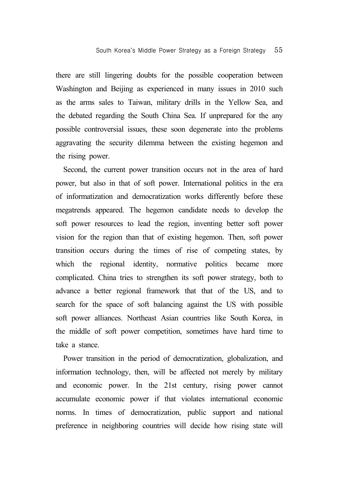there are still lingering doubts for the possible cooperation between Washington and Beijing as experienced in many issues in 2010 such as the arms sales to Taiwan, military drills in the Yellow Sea, and the debated regarding the South China Sea. If unprepared for the any possible controversial issues, these soon degenerate into the problems aggravating the security dilemma between the existing hegemon and the rising power.

Second, the current power transition occurs not in the area of hard power, but also in that of soft power. International politics in the era of informatization and democratization works differently before these megatrends appeared. The hegemon candidate needs to develop the soft power resources to lead the region, inventing better soft power vision for the region than that of existing hegemon. Then, soft power transition occurs during the times of rise of competing states, by which the regional identity, normative politics became more complicated. China tries to strengthen its soft power strategy, both to advance a better regional framework that that of the US, and to search for the space of soft balancing against the US with possible soft power alliances. Northeast Asian countries like South Korea, in the middle of soft power competition, sometimes have hard time to take a stance.

Power transition in the period of democratization, globalization, and information technology, then, will be affected not merely by military and economic power. In the 21st century, rising power cannot accumulate economic power if that violates international economic norms. In times of democratization, public support and national preference in neighboring countries will decide how rising state will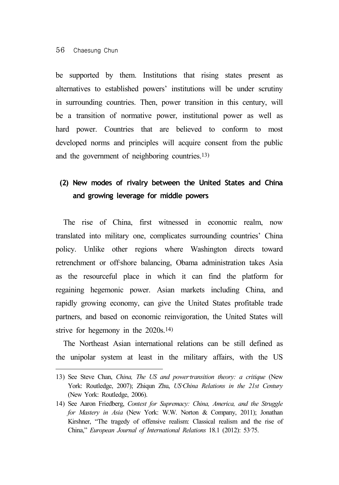be supported by them. Institutions that rising states present as alternatives to established powers' institutions will be under scrutiny in surrounding countries. Then, power transition in this century, will be a transition of normative power, institutional power as well as hard power. Countries that are believed to conform to most developed norms and principles will acquire consent from the public and the government of neighboring countries.13)

### **(2) New modes of rivalry between the United States and China and growing leverage for middle powers**

The rise of China, first witnessed in economic realm, now translated into military one, complicates surrounding countries' China policy. Unlike other regions where Washington directs toward retrenchment or off-shore balancing, Obama administration takes Asia as the resourceful place in which it can find the platform for regaining hegemonic power. Asian markets including China, and rapidly growing economy, can give the United States profitable trade partners, and based on economic reinvigoration, the United States will strive for hegemony in the 2020s.14)

The Northeast Asian international relations can be still defined as the unipolar system at least in the military affairs, with the US

<sup>13)</sup> See Steve Chan, *China, The US and power-transition theory: a critique* (New York: Routledge, 2007); Zhiqun Zhu, *US* China Relations in the 21st Century (New York: Routledge, 2006).

<sup>14)</sup> See Aaron Friedberg, *Contest for Supremacy: China, America, and the Struggle for Mastery in Asia* (New York: W.W. Norton & Company, 2011); Jonathan Kirshner, "The tragedy of offensive realism: Classical realism and the rise of China," *European Journal of International Relations* 18.1 (2012): 53‐75.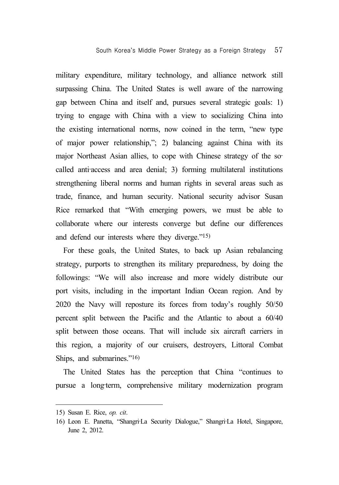military expenditure, military technology, and alliance network still surpassing China. The United States is well aware of the narrowing gap between China and itself and, pursues several strategic goals: 1) trying to engage with China with a view to socializing China into the existing international norms, now coined in the term, "new type of major power relationship,"; 2) balancing against China with its major Northeast Asian allies, to cope with Chinese strategy of the socalled anti-access and area denial; 3) forming multilateral institutions strengthening liberal norms and human rights in several areas such as trade, finance, and human security. National security advisor Susan Rice remarked that "With emerging powers, we must be able to collaborate where our interests converge but define our differences and defend our interests where they diverge."15)

For these goals, the United States, to back up Asian rebalancing strategy, purports to strengthen its military preparedness, by doing the followings: "We will also increase and more widely distribute our port visits, including in the important Indian Ocean region. And by 2020 the Navy will reposture its forces from today's roughly 50/50 percent split between the Pacific and the Atlantic to about a 60/40 split between those oceans. That will include six aircraft carriers in this region, a majority of our cruisers, destroyers, Littoral Combat Ships, and submarines."16)

The United States has the perception that China "continues to pursue a long-term, comprehensive military modernization program

<sup>15)</sup> Susan E. Rice, *op. cit*.

<sup>16)</sup> Leon E. Panetta, "Shangri‐La Security Dialogue," Shangri‐La Hotel, Singapore, June 2, 2012.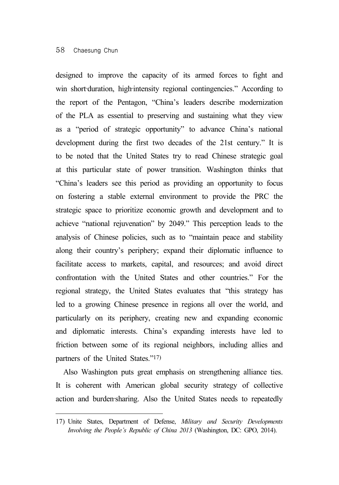designed to improve the capacity of its armed forces to fight and win short-duration, high-intensity regional contingencies." According to the report of the Pentagon, "China's leaders describe modernization of the PLA as essential to preserving and sustaining what they view as a "period of strategic opportunity" to advance China's national development during the first two decades of the 21st century." It is to be noted that the United States try to read Chinese strategic goal at this particular state of power transition. Washington thinks that "China's leaders see this period as providing an opportunity to focus on fostering a stable external environment to provide the PRC the strategic space to prioritize economic growth and development and to achieve "national rejuvenation" by 2049." This perception leads to the analysis of Chinese policies, such as to "maintain peace and stability along their country's periphery; expand their diplomatic influence to facilitate access to markets, capital, and resources; and avoid direct confrontation with the United States and other countries." For the regional strategy, the United States evaluates that "this strategy has led to a growing Chinese presence in regions all over the world, and particularly on its periphery, creating new and expanding economic and diplomatic interests. China's expanding interests have led to friction between some of its regional neighbors, including allies and partners of the United States."17)

Also Washington puts great emphasis on strengthening alliance ties. It is coherent with American global security strategy of collective action and burden-sharing. Also the United States needs to repeatedly

<sup>17)</sup> Unite States, Department of Defense, *Military and Security Developments Involving the People's Republic of China 2013* (Washington, DC: GPO, 2014).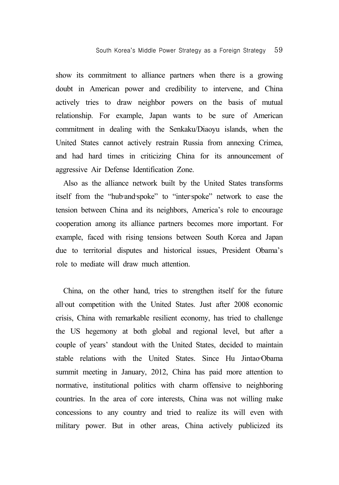show its commitment to alliance partners when there is a growing doubt in American power and credibility to intervene, and China actively tries to draw neighbor powers on the basis of mutual relationship. For example, Japan wants to be sure of American commitment in dealing with the Senkaku/Diaoyu islands, when the United States cannot actively restrain Russia from annexing Crimea, and had hard times in criticizing China for its announcement of aggressive Air Defense Identification Zone.

Also as the alliance network built by the United States transforms itself from the "hub-and-spoke" to "inter-spoke" network to ease the tension between China and its neighbors, America's role to encourage cooperation among its alliance partners becomes more important. For example, faced with rising tensions between South Korea and Japan due to territorial disputes and historical issues, President Obama's role to mediate will draw much attention.

China, on the other hand, tries to strengthen itself for the future all-out competition with the United States. Just after 2008 economic crisis, China with remarkable resilient economy, has tried to challenge the US hegemony at both global and regional level, but after a couple of years' standout with the United States, decided to maintain stable relations with the United States. Since Hu Jintao-Obama summit meeting in January, 2012, China has paid more attention to normative, institutional politics with charm offensive to neighboring countries. In the area of core interests, China was not willing make concessions to any country and tried to realize its will even with military power. But in other areas, China actively publicized its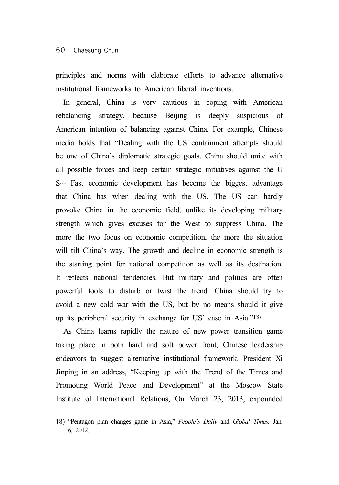principles and norms with elaborate efforts to advance alternative institutional frameworks to American liberal inventions.

In general, China is very cautious in coping with American rebalancing strategy, because Beijing is deeply suspicious of American intention of balancing against China. For example, Chinese media holds that "Dealing with the US containment attempts should be one of China's diplomatic strategic goals. China should unite with all possible forces and keep certain strategic initiatives against the U S… Fast economic development has become the biggest advantage that China has when dealing with the US. The US can hardly provoke China in the economic field, unlike its developing military strength which gives excuses for the West to suppress China. The more the two focus on economic competition, the more the situation will tilt China's way. The growth and decline in economic strength is the starting point for national competition as well as its destination. It reflects national tendencies. But military and politics are often powerful tools to disturb or twist the trend. China should try to avoid a new cold war with the US, but by no means should it give up its peripheral security in exchange for US' ease in Asia."18)

As China learns rapidly the nature of new power transition game taking place in both hard and soft power front, Chinese leadership endeavors to suggest alternative institutional framework. President Xi Jinping in an address, "Keeping up with the Trend of the Times and Promoting World Peace and Development" at the Moscow State Institute of International Relations, On March 23, 2013, expounded

<sup>18) &</sup>quot;Pentagon plan changes game in Asia," *People's Daily* and *Global Times,* Jan. 6, 2012.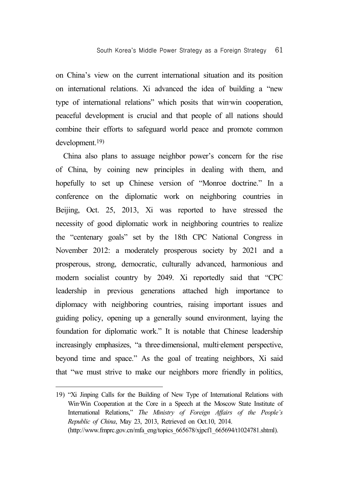on China's view on the current international situation and its position on international relations. Xi advanced the idea of building a "new type of international relations" which posits that win–win cooperation, peaceful development is crucial and that people of all nations should combine their efforts to safeguard world peace and promote common development.19)

China also plans to assuage neighbor power's concern for the rise of China, by coining new principles in dealing with them, and hopefully to set up Chinese version of "Monroe doctrine." In a conference on the diplomatic work on neighboring countries in Beijing, Oct. 25, 2013, Xi was reported to have stressed the necessity of good diplomatic work in neighboring countries to realize the "centenary goals" set by the 18th CPC National Congress in November 2012: a moderately prosperous society by 2021 and a prosperous, strong, democratic, culturally advanced, harmonious and modern socialist country by 2049. Xi reportedly said that "CPC leadership in previous generations attached high importance to diplomacy with neighboring countries, raising important issues and guiding policy, opening up a generally sound environment, laying the foundation for diplomatic work." It is notable that Chinese leadership increasingly emphasizes, "a three-dimensional, multi-element perspective, beyond time and space." As the goal of treating neighbors, Xi said that "we must strive to make our neighbors more friendly in politics,

<sup>19) &</sup>quot;Xi Jinping Calls for the Building of New Type of International Relations with Win–Win Cooperation at the Core in a Speech at the Moscow State Institute of International Relations," *The Ministry of Foreign Affairs of the People's Republic of China*, May 23, 2013, Retrieved on Oct.10, 2014. (http://www.fmprc.gov.cn/mfa\_eng/topics\_665678/xjpcf1\_665694/t1024781.shtml).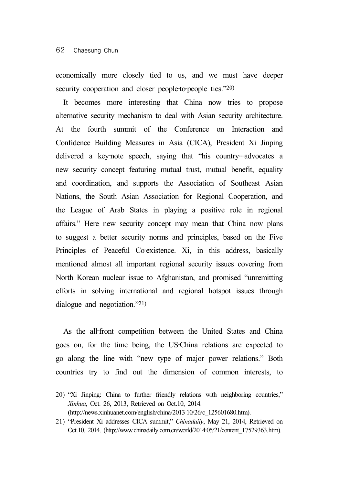economically more closely tied to us, and we must have deeper security cooperation and closer people-to-people ties."20)

It becomes more interesting that China now tries to propose alternative security mechanism to deal with Asian security architecture. At the fourth summit of the Conference on Interaction and Confidence Building Measures in Asia (CICA), President Xi Jinping delivered a key-note speech, saying that "his country…advocates a new security concept featuring mutual trust, mutual benefit, equality and coordination, and supports the Association of Southeast Asian Nations, the South Asian Association for Regional Cooperation, and the League of Arab States in playing a positive role in regional affairs." Here new security concept may mean that China now plans to suggest a better security norms and principles, based on the Five Principles of Peaceful Co-existence. Xi, in this address, basically mentioned almost all important regional security issues covering from North Korean nuclear issue to Afghanistan, and promised "unremitting efforts in solving international and regional hotspot issues through dialogue and negotiation."21)

As the all-front competition between the United States and China goes on, for the time being, the US‐China relations are expected to go along the line with "new type of major power relations." Both countries try to find out the dimension of common interests, to

<sup>20) &</sup>quot;Xi Jinping: China to further friendly relations with neighboring countries," *Xinhua*, Oct. 26, 2013, Retrieved on Oct.10, 2014. (http://news.xinhuanet.com/english/china/2013‐10/26/c\_125601680.htm).

<sup>21) &</sup>quot;President Xi addresses CICA summit," *Chinadaily*, May 21, 2014, Retrieved on Oct.10, 2014. (http://www.chinadaily.com.cn/world/2014‐05/21/content\_17529363.htm).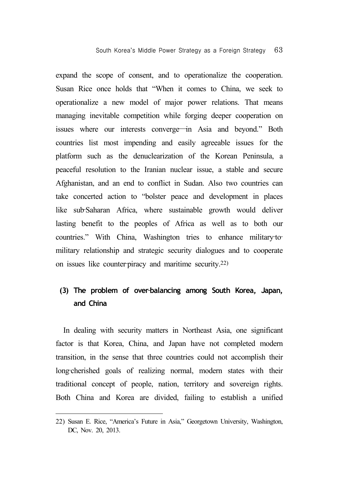expand the scope of consent, and to operationalize the cooperation. Susan Rice once holds that "When it comes to China, we seek to operationalize a new model of major power relations. That means managing inevitable competition while forging deeper cooperation on issues where our interests converge―in Asia and beyond." Both countries list most impending and easily agreeable issues for the platform such as the denuclearization of the Korean Peninsula, a peaceful resolution to the Iranian nuclear issue, a stable and secure Afghanistan, and an end to conflict in Sudan. Also two countries can take concerted action to "bolster peace and development in places like sub‐Saharan Africa, where sustainable growth would deliver lasting benefit to the peoples of Africa as well as to both our countries." With China, Washington tries to enhance military-tomilitary relationship and strategic security dialogues and to cooperate on issues like counter-piracy and maritime security.<sup>22)</sup>

### (3) The problem of over-balancing among South Korea, Japan, **and China**

In dealing with security matters in Northeast Asia, one significant factor is that Korea, China, and Japan have not completed modern transition, in the sense that three countries could not accomplish their long-cherished goals of realizing normal, modern states with their traditional concept of people, nation, territory and sovereign rights. Both China and Korea are divided, failing to establish a unified

<sup>22)</sup> Susan E. Rice, "America's Future in Asia," Georgetown University, Washington, DC, Nov. 20, 2013.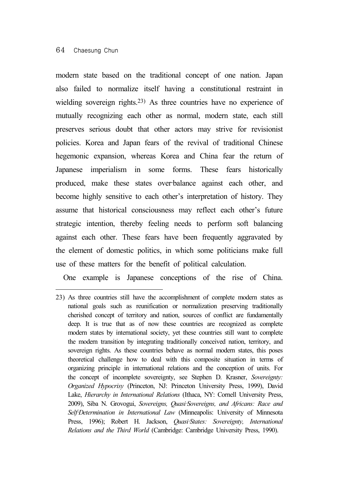#### 64 Chaesung Chun

modern state based on the traditional concept of one nation. Japan also failed to normalize itself having a constitutional restraint in wielding sovereign rights.23) As three countries have no experience of mutually recognizing each other as normal, modern state, each still preserves serious doubt that other actors may strive for revisionist policies. Korea and Japan fears of the revival of traditional Chinese hegemonic expansion, whereas Korea and China fear the return of Japanese imperialism in some forms. These fears historically produced, make these states over-balance against each other, and become highly sensitive to each other's interpretation of history. They assume that historical consciousness may reflect each other's future strategic intention, thereby feeling needs to perform soft balancing against each other. These fears have been frequently aggravated by the element of domestic politics, in which some politicians make full use of these matters for the benefit of political calculation.

One example is Japanese conceptions of the rise of China.

<sup>23)</sup> As three countries still have the accomplishment of complete modern states as national goals such as reunification or normalization preserving traditionally cherished concept of territory and nation, sources of conflict are fundamentally deep. It is true that as of now these countries are recognized as complete modern states by international society, yet these countries still want to complete the modern transition by integrating traditionally conceived nation, territory, and sovereign rights. As these countries behave as normal modern states, this poses theoretical challenge how to deal with this composite situation in terms of organizing principle in international relations and the conception of units. For the concept of incomplete sovereignty, see Stephen D. Krasner, *Sovereignty: Organized Hypocrisy* (Princeton, NJ: Princeton University Press, 1999), David Lake, *Hierarchy in International Relations* (Ithaca, NY: Cornell University Press, 2009), Siba N. Grovogui, *Sovereigns, Quasi*‐*Sovereigns, and Africans: Race and Self*‐*Determination in International Law* (Minneapolis: University of Minnesota Press, 1996); Robert H. Jackson, *Quasi-States: Sovereignty, International Relations and the Third World* (Cambridge: Cambridge University Press, 1990).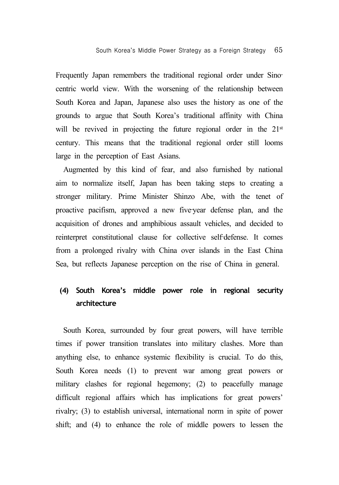Frequently Japan remembers the traditional regional order under Sinocentric world view. With the worsening of the relationship between South Korea and Japan, Japanese also uses the history as one of the grounds to argue that South Korea's traditional affinity with China will be revived in projecting the future regional order in the 21<sup>st</sup> century. This means that the traditional regional order still looms large in the perception of East Asians.

Augmented by this kind of fear, and also furnished by national aim to normalize itself, Japan has been taking steps to creating a stronger military. Prime Minister Shinzo Abe, with the tenet of proactive pacifism, approved a new five-year defense plan, and the acquisition of drones and amphibious assault vehicles, and decided to reinterpret constitutional clause for collective self-defense. It comes from a prolonged rivalry with China over islands in the East China Sea, but reflects Japanese perception on the rise of China in general.

### **(4) South Korea's middle power role in regional security architecture**

South Korea, surrounded by four great powers, will have terrible times if power transition translates into military clashes. More than anything else, to enhance systemic flexibility is crucial. To do this, South Korea needs (1) to prevent war among great powers or military clashes for regional hegemony; (2) to peacefully manage difficult regional affairs which has implications for great powers' rivalry; (3) to establish universal, international norm in spite of power shift; and (4) to enhance the role of middle powers to lessen the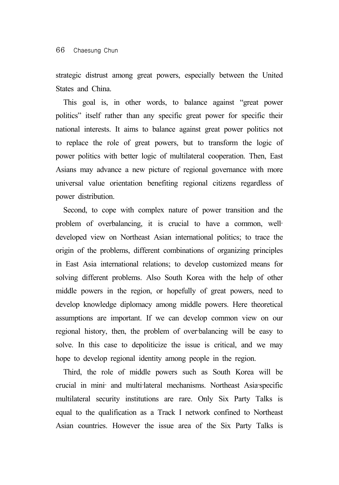strategic distrust among great powers, especially between the United States and China.

This goal is, in other words, to balance against "great power politics" itself rather than any specific great power for specific their national interests. It aims to balance against great power politics not to replace the role of great powers, but to transform the logic of power politics with better logic of multilateral cooperation. Then, East Asians may advance a new picture of regional governance with more universal value orientation benefiting regional citizens regardless of power distribution.

Second, to cope with complex nature of power transition and the problem of overbalancing, it is crucial to have a common, welldeveloped view on Northeast Asian international politics; to trace the origin of the problems, different combinations of organizing principles in East Asia international relations; to develop customized means for solving different problems. Also South Korea with the help of other middle powers in the region, or hopefully of great powers, need to develop knowledge diplomacy among middle powers. Here theoretical assumptions are important. If we can develop common view on our regional history, then, the problem of over-balancing will be easy to solve. In this case to depoliticize the issue is critical, and we may hope to develop regional identity among people in the region.

Third, the role of middle powers such as South Korea will be crucial in mini‐ and multi‐lateral mechanisms. Northeast Asia‐specific multilateral security institutions are rare. Only Six Party Talks is equal to the qualification as a Track I network confined to Northeast Asian countries. However the issue area of the Six Party Talks is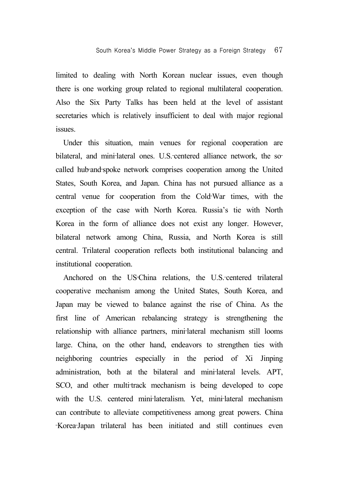limited to dealing with North Korean nuclear issues, even though there is one working group related to regional multilateral cooperation. Also the Six Party Talks has been held at the level of assistant secretaries which is relatively insufficient to deal with major regional issues.

Under this situation, main venues for regional cooperation are bilateral, and mini-lateral ones. U.S.-centered alliance network, the socalled hub‐and‐spoke network comprises cooperation among the United States, South Korea, and Japan. China has not pursued alliance as a central venue for cooperation from the Cold‐War times, with the exception of the case with North Korea. Russia's tie with North Korea in the form of alliance does not exist any longer. However, bilateral network among China, Russia, and North Korea is still central. Trilateral cooperation reflects both institutional balancing and institutional cooperation.

Anchored on the US-China relations, the U.S.-centered trilateral cooperative mechanism among the United States, South Korea, and Japan may be viewed to balance against the rise of China. As the first line of American rebalancing strategy is strengthening the relationship with alliance partners, mini-lateral mechanism still looms large. China, on the other hand, endeavors to strengthen ties with neighboring countries especially in the period of Xi Jinping administration, both at the bilateral and mini-lateral levels. APT, SCO, and other multi-track mechanism is being developed to cope with the U.S. centered mini-lateralism. Yet, mini-lateral mechanism can contribute to alleviate competitiveness among great powers. China ‐Korea‐Japan trilateral has been initiated and still continues even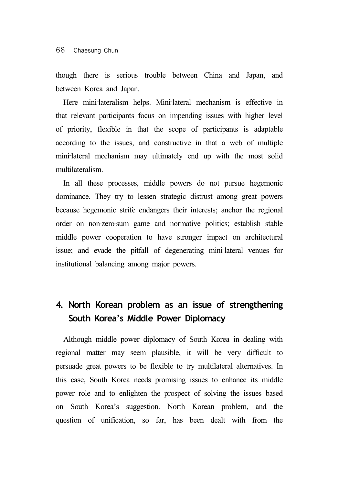though there is serious trouble between China and Japan, and between Korea and Japan.

Here mini-lateralism helps. Mini-lateral mechanism is effective in that relevant participants focus on impending issues with higher level of priority, flexible in that the scope of participants is adaptable according to the issues, and constructive in that a web of multiple mini-lateral mechanism may ultimately end up with the most solid multilateralism.

In all these processes, middle powers do not pursue hegemonic dominance. They try to lessen strategic distrust among great powers because hegemonic strife endangers their interests; anchor the regional order on non-zero-sum game and normative politics; establish stable middle power cooperation to have stronger impact on architectural issue; and evade the pitfall of degenerating mini‐lateral venues for institutional balancing among major powers.

# **4. North Korean problem as an issue of strengthening South Korea's Middle Power Diplomacy**

Although middle power diplomacy of South Korea in dealing with regional matter may seem plausible, it will be very difficult to persuade great powers to be flexible to try multilateral alternatives. In this case, South Korea needs promising issues to enhance its middle power role and to enlighten the prospect of solving the issues based on South Korea's suggestion. North Korean problem, and the question of unification, so far, has been dealt with from the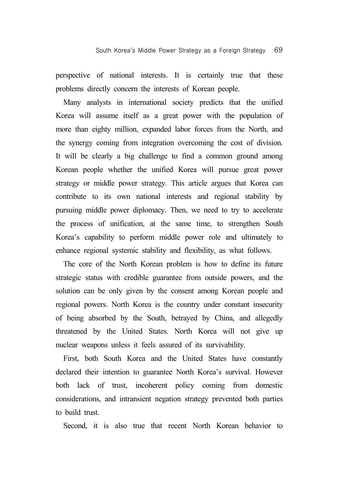perspective of national interests. It is certainly true that these problems directly concern the interests of Korean people.

Many analysts in international society predicts that the unified Korea will assume itself as a great power with the population of more than eighty million, expanded labor forces from the North, and the synergy coming from integration overcoming the cost of division. It will be clearly a big challenge to find a common ground among Korean people whether the unified Korea will pursue great power strategy or middle power strategy. This article argues that Korea can contribute to its own national interests and regional stability by pursuing middle power diplomacy. Then, we need to try to accelerate the process of unification, at the same time, to strengthen South Korea's capability to perform middle power role and ultimately to enhance regional systemic stability and flexibility, as what follows.

The core of the North Korean problem is how to define its future strategic status with credible guarantee from outside powers, and the solution can be only given by the consent among Korean people and regional powers. North Korea is the country under constant insecurity of being absorbed by the South, betrayed by China, and allegedly threatened by the United States. North Korea will not give up nuclear weapons unless it feels assured of its survivability.

First, both South Korea and the United States have constantly declared their intention to guarantee North Korea's survival. However both lack of trust, incoherent policy coming from domestic considerations, and intransient negation strategy prevented both parties to build trust.

Second, it is also true that recent North Korean behavior to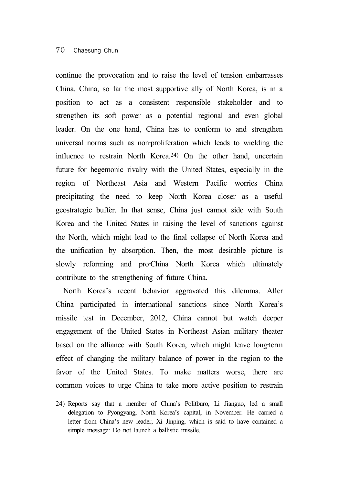### 70 Chaesung Chun

continue the provocation and to raise the level of tension embarrasses China. China, so far the most supportive ally of North Korea, is in a position to act as a consistent responsible stakeholder and to strengthen its soft power as a potential regional and even global leader. On the one hand, China has to conform to and strengthen universal norms such as non-proliferation which leads to wielding the influence to restrain North Korea.24) On the other hand, uncertain future for hegemonic rivalry with the United States, especially in the region of Northeast Asia and Western Pacific worries China precipitating the need to keep North Korea closer as a useful geostrategic buffer. In that sense, China just cannot side with South Korea and the United States in raising the level of sanctions against the North, which might lead to the final collapse of North Korea and the unification by absorption. Then, the most desirable picture is slowly reforming and pro-China North Korea which ultimately contribute to the strengthening of future China.

North Korea's recent behavior aggravated this dilemma. After China participated in international sanctions since North Korea's missile test in December, 2012, China cannot but watch deeper engagement of the United States in Northeast Asian military theater based on the alliance with South Korea, which might leave long-term effect of changing the military balance of power in the region to the favor of the United States. To make matters worse, there are common voices to urge China to take more active position to restrain

<sup>24)</sup> Reports say that a member of China's Politburo, Li Jianguo, led a small delegation to Pyongyang, North Korea's capital, in November. He carried a letter from China's new leader, Xi Jinping, which is said to have contained a simple message: Do not launch a ballistic missile.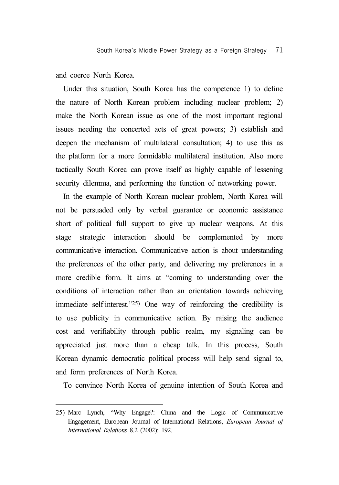and coerce North Korea.

Under this situation, South Korea has the competence 1) to define the nature of North Korean problem including nuclear problem; 2) make the North Korean issue as one of the most important regional issues needing the concerted acts of great powers; 3) establish and deepen the mechanism of multilateral consultation; 4) to use this as the platform for a more formidable multilateral institution. Also more tactically South Korea can prove itself as highly capable of lessening security dilemma, and performing the function of networking power.

In the example of North Korean nuclear problem, North Korea will not be persuaded only by verbal guarantee or economic assistance short of political full support to give up nuclear weapons. At this stage strategic interaction should be complemented by more communicative interaction. Communicative action is about understanding the preferences of the other party, and delivering my preferences in a more credible form. It aims at "coming to understanding over the conditions of interaction rather than an orientation towards achieving immediate self-interest."<sup>25</sup>) One way of reinforcing the credibility is to use publicity in communicative action. By raising the audience cost and verifiability through public realm, my signaling can be appreciated just more than a cheap talk. In this process, South Korean dynamic democratic political process will help send signal to, and form preferences of North Korea.

To convince North Korea of genuine intention of South Korea and

<sup>25)</sup> Marc Lynch, "Why Engage?: China and the Logic of Communicative Engagement, European Journal of International Relations, *European Journal of International Relations* 8.2 (2002): 192.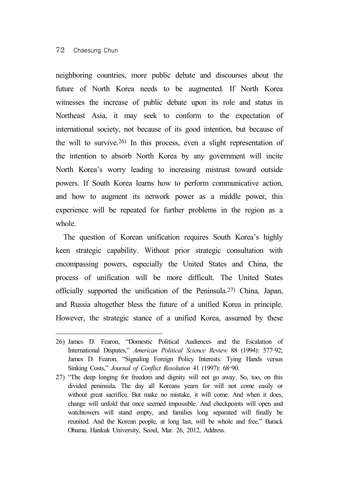### 72 Chaesung Chun

neighboring countries, more public debate and discourses about the future of North Korea needs to be augmented. If North Korea witnesses the increase of public debate upon its role and status in Northeast Asia, it may seek to conform to the expectation of international society, not because of its good intention, but because of the will to survive.26) In this process, even a slight representation of the intention to absorb North Korea by any government will incite North Korea's worry leading to increasing mistrust toward outside powers. If South Korea learns how to perform communicative action, and how to augment its network power as a middle power, this experience will be repeated for further problems in the region as a whole.

The question of Korean unification requires South Korea's highly keen strategic capability. Without prior strategic consultation with encompassing powers, especially the United States and China, the process of unification will be more difficult. The United States officially supported the unification of the Peninsula.27) China, Japan, and Russia altogether bless the future of a unified Korea in principle. However, the strategic stance of a unified Korea, assumed by these

<sup>26)</sup> James D. Fearon, "Domestic Political Audiences and the Escalation of International Disputes," *American Political Science Review* 88 (1994): 577–92; James D. Fearon, "Signaling Foreign Policy Interests: Tying Hands versus Sinking Costs," *Journal of Conflict Resolution* 41 (1997): 68–90.

<sup>27) &</sup>quot;The deep longing for freedom and dignity will not go away. So, too, on this divided peninsula. The day all Koreans yearn for will not come easily or without great sacrifice. But make no mistake, it will come. And when it does, change will unfold that once seemed impossible. And checkpoints will open and watchtowers will stand empty, and families long separated will finally be reunited. And the Korean people, at long last, will be whole and free," Barack Obama, Hankuk University, Seoul, Mar. 26, 2012, Address.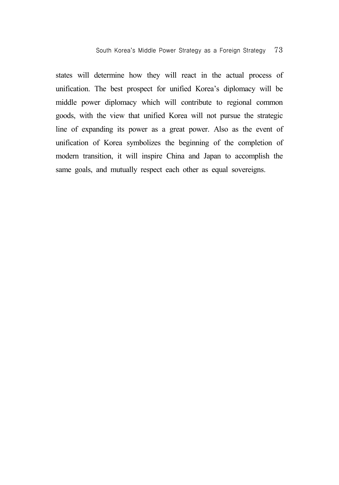states will determine how they will react in the actual process of unification. The best prospect for unified Korea's diplomacy will be middle power diplomacy which will contribute to regional common goods, with the view that unified Korea will not pursue the strategic line of expanding its power as a great power. Also as the event of unification of Korea symbolizes the beginning of the completion of modern transition, it will inspire China and Japan to accomplish the same goals, and mutually respect each other as equal sovereigns.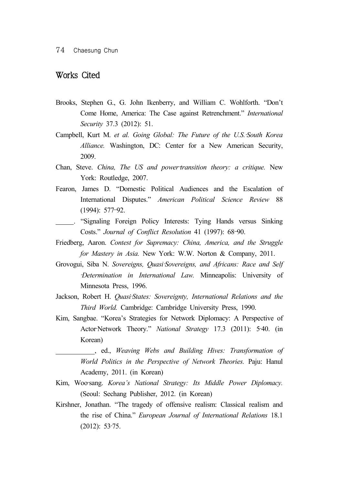### Works Cited

- Brooks, Stephen G., G. John Ikenberry, and William C. Wohlforth. "Don't Come Home, America: The Case against Retrenchment." *International Security* 37.3 (2012): 51.
- Campbell, Kurt M. *et al. Going Global: The Future of the U.S.*‐*South Korea Alliance.* Washington, DC: Center for a New American Security, 2009.
- Chan, Steve. *China, The US and power-transition theory: a critique.* New York: Routledge, 2007.
- Fearon, James D. "Domestic Political Audiences and the Escalation of International Disputes." *American Political Science Review* 88 (1994): 577–92.
- . "Signaling Foreign Policy Interests: Tying Hands versus Sinking Costs." *Journal of Conflict Resolution* 41 (1997): 68–90.
- Friedberg, Aaron. *Contest for Supremacy: China, America, and the Struggle for Mastery in Asia.* New York: W.W. Norton & Company, 2011.
- Grovogui, Siba N. *Sovereigns, Quasi*-Sovereigns, and Africans: Race and Self ‐*Determination in International Law.* Minneapolis: University of Minnesota Press, 1996.
- Jackson, Robert H. *Quasi-States: Sovereignty, International Relations and the Third World.* Cambridge: Cambridge University Press, 1990.
- Kim, Sangbae. "Korea's Strategies for Network Diplomacy: A Perspective of Actor‐Network Theory." *National Strategy* 17.3 (2011): 5‐40. (in Korean)

 , ed., *Weaving Webs and Building Hives: Transformation of World Politics in the Perspective of Network Theories.* Paju: Hanul Academy, 2011. (in Korean)

- Kim, Woo-sang. *Korea's National Strategy: Its Middle Power Diplomacy.* (Seoul: Sechang Publisher, 2012. (in Korean)
- Kirshner, Jonathan. "The tragedy of offensive realism: Classical realism and the rise of China." *European Journal of International Relations* 18.1 (2012): 53‐75.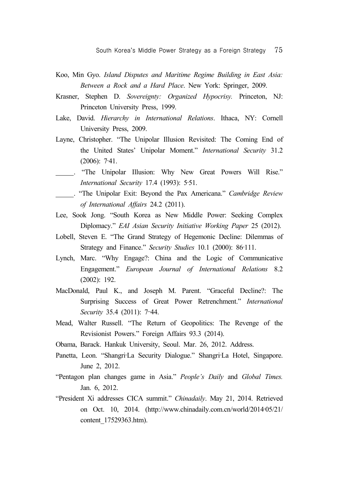- Koo, Min Gyo. *Island Disputes and Maritime Regime Building in East Asia: Between a Rock and a Hard Place*. New York: Springer, 2009.
- Krasner, Stephen D. *Sovereignty: Organized Hypocrisy.* Princeton, NJ: Princeton University Press, 1999.
- Lake, David. *Hierarchy in International Relations*. Ithaca, NY: Cornell University Press, 2009.
- Layne, Christopher. "The Unipolar Illusion Revisited: The Coming End of the United States' Unipolar Moment." *International Security* 31.2  $(2006): 7-41.$
- . "The Unipolar Illusion: Why New Great Powers Will Rise." *International Security* 17.4 (1993): 5‐51.
- . "The Unipolar Exit: Beyond the Pax Americana." *Cambridge Review of International Affairs* 24.2 (2011).
- Lee, Sook Jong. "South Korea as New Middle Power: Seeking Complex Diplomacy." *EAI Asian Security Initiative Working Paper* 25 (2012).
- Lobell, Steven E. "The Grand Strategy of Hegemonic Decline: Dilemmas of Strategy and Finance." *Security Studies* 10.1 (2000): 86‐111.
- Lynch, Marc. "Why Engage?: China and the Logic of Communicative Engagement." *European Journal of International Relations* 8.2 (2002): 192.
- MacDonald, Paul K., and Joseph M. Parent. "Graceful Decline?: The Surprising Success of Great Power Retrenchment." *International Security* 35.4 (2011): 7–44.
- Mead, Walter Russell. "The Return of Geopolitics: The Revenge of the Revisionist Powers." Foreign Affairs 93.3 (2014).
- Obama, Barack. Hankuk University, Seoul. Mar. 26, 2012. Address.
- Panetta, Leon. "Shangri-La Security Dialogue." Shangri-La Hotel, Singapore. June 2, 2012.
- "Pentagon plan changes game in Asia." *People's Daily* and *Global Times.* Jan. 6, 2012.
- "President Xi addresses CICA summit." *Chinadaily*. May 21, 2014. Retrieved on Oct. 10, 2014. (http://www.chinadaily.com.cn/world/2014‐05/21/ content\_17529363.htm).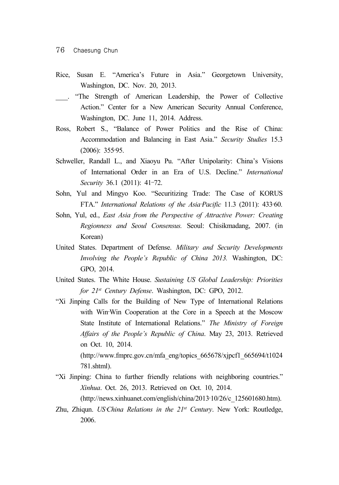- Rice, Susan E. "America's Future in Asia." Georgetown University, Washington, DC. Nov. 20, 2013.
- . "The Strength of American Leadership, the Power of Collective Action." Center for a New American Security Annual Conference, Washington, DC. June 11, 2014. Address.
- Ross, Robert S., "Balance of Power Politics and the Rise of China: Accommodation and Balancing in East Asia." *Security Studies* 15.3 (2006): 355‐95.
- Schweller, Randall L., and Xiaoyu Pu. "After Unipolarity: China's Visions of International Order in an Era of U.S. Decline." *International Security* 36.1 (2011): 41–72.
- Sohn, Yul and Mingyo Koo. "Securitizing Trade: The Case of KORUS FTA." *International Relations of the Asia-Pacific* 11.3 (2011): 433-60.
- Sohn, Yul, ed., *East Asia from the Perspective of Attractive Power: Creating Regionness and Seoul Consensus.* Seoul: Chisikmadang, 2007. (in Korean)
- United States. Department of Defense. *Military and Security Developments Involving the People's Republic of China 2013.* Washington, DC: GPO, 2014.
- United States. The White House. *Sustaining US Global Leadership: Priorities for 21st Century Defense*. Washington, DC: GPO, 2012.
- "Xi Jinping Calls for the Building of New Type of International Relations with Win-Win Cooperation at the Core in a Speech at the Moscow State Institute of International Relations." *The Ministry of Foreign Affairs of the People's Republic of China*. May 23, 2013. Retrieved on Oct. 10, 2014. (http://www.fmprc.gov.cn/mfa\_eng/topics\_665678/xjpcf1\_665694/t1024 781.shtml).
- "Xi Jinping: China to further friendly relations with neighboring countries." *Xinhua*. Oct. 26, 2013. Retrieved on Oct. 10, 2014. (http://news.xinhuanet.com/english/china/2013‐10/26/c\_125601680.htm).
- Zhu, Zhiqun. *US* China Relations in the 21st Century. New York: Routledge, 2006.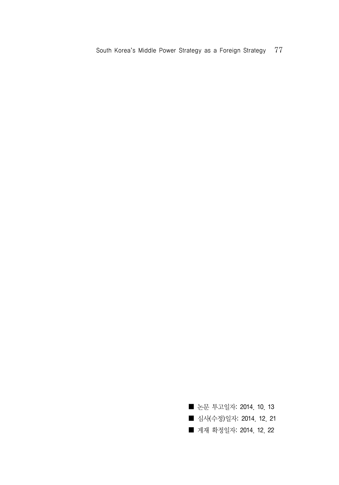South Korea's Middle Power Strategy as a Foreign Strategy 77

■ 논문 투고일자: 2014. 10. 13 ■ 심사(수정)일자: 2014. 12. 21 ■ 계재 확정일자: 2014. 12. 22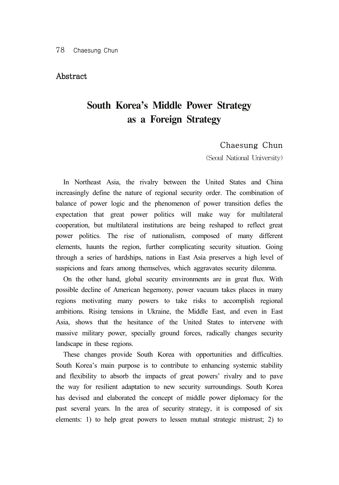### Abstract

# **South Korea's Middle Power Strategy as a Foreign Strategy**

### Chaesung Chun

(Seoul National University)

In Northeast Asia, the rivalry between the United States and China increasingly define the nature of regional security order. The combination of balance of power logic and the phenomenon of power transition defies the expectation that great power politics will make way for multilateral cooperation, but multilateral institutions are being reshaped to reflect great power politics. The rise of nationalism, composed of many different elements, haunts the region, further complicating security situation. Going through a series of hardships, nations in East Asia preserves a high level of suspicions and fears among themselves, which aggravates security dilemma.

On the other hand, global security environments are in great flux. With possible decline of American hegemony, power vacuum takes places in many regions motivating many powers to take risks to accomplish regional ambitions. Rising tensions in Ukraine, the Middle East, and even in East Asia, shows that the hesitance of the United States to intervene with massive military power, specially ground forces, radically changes security landscape in these regions.

These changes provide South Korea with opportunities and difficulties. South Korea's main purpose is to contribute to enhancing systemic stability and flexibility to absorb the impacts of great powers' rivalry and to pave the way for resilient adaptation to new security surroundings. South Korea has devised and elaborated the concept of middle power diplomacy for the past several years. In the area of security strategy, it is composed of six elements: 1) to help great powers to lessen mutual strategic mistrust; 2) to